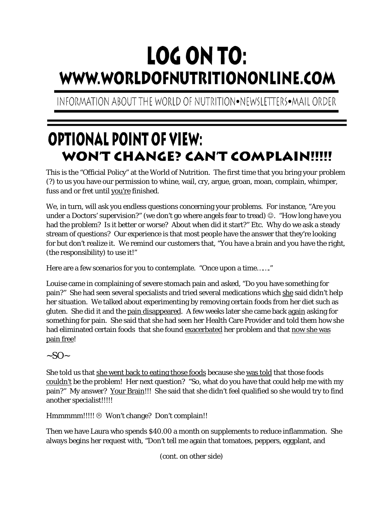## LOG ON TO: WWW.WORLDOFNUTRITIONONLINE.COM

INFORMATION ABOUT THE WORLD OF NUTRITION•NEWSLETTERS•MAIL ORDER

## **OPTIONAL POINT OF VIEW:** WON'T CHANGE? CAN'T COMPLAIN!!!!!

This is the "Official Policy" at the World of Nutrition. The first time that you bring your problem (?) to us you have our permission to whine, wail, cry, argue, groan, moan, complain, whimper, fuss and or fret until you're finished.

We, in turn, will ask you endless questions concerning your problems. For instance, "Are you under a Doctors' supervision?" (we don't go where angels fear to tread)  $\circledcirc$ . "How long have you had the problem? Is it better or worse? About when did it start?" Etc. Why do we ask a steady stream of questions? Our experience is that most people have the answer that they're looking for but don't realize it. We remind our customers that, "You have a brain and you have the right, (the responsibility) to use it!"

Here are a few scenarios for you to contemplate. "Once upon a time……."

Louise came in complaining of severe stomach pain and asked, "Do you have something for pain?" She had seen several specialists and tried several medications which she said didn't help her situation. We talked about experimenting by removing certain foods from her diet such as gluten. She did it and the pain disappeared. A few weeks later she came back again asking for something for pain. She said that she had seen her Health Care Provider and told them how she had eliminated certain foods that she found exacerbated her problem and that now she was pain free!

 $-SO~$ 

She told us that she went back to eating those foods because she was told that those foods couldn't be the problem! Her next question? "So, what do you have that could help me with my pain?" My answer? Your Brain!!! She said that she didn't feel qualified so she would try to find another specialist!!!!!

Hmmmmm!!!!! <sup>®</sup> Won't change? Don't complain!!

Then we have Laura who spends \$40.00 a month on supplements to reduce inflammation. She always begins her request with, "Don't tell me again that tomatoes, peppers, eggplant, and

(cont. on other side)